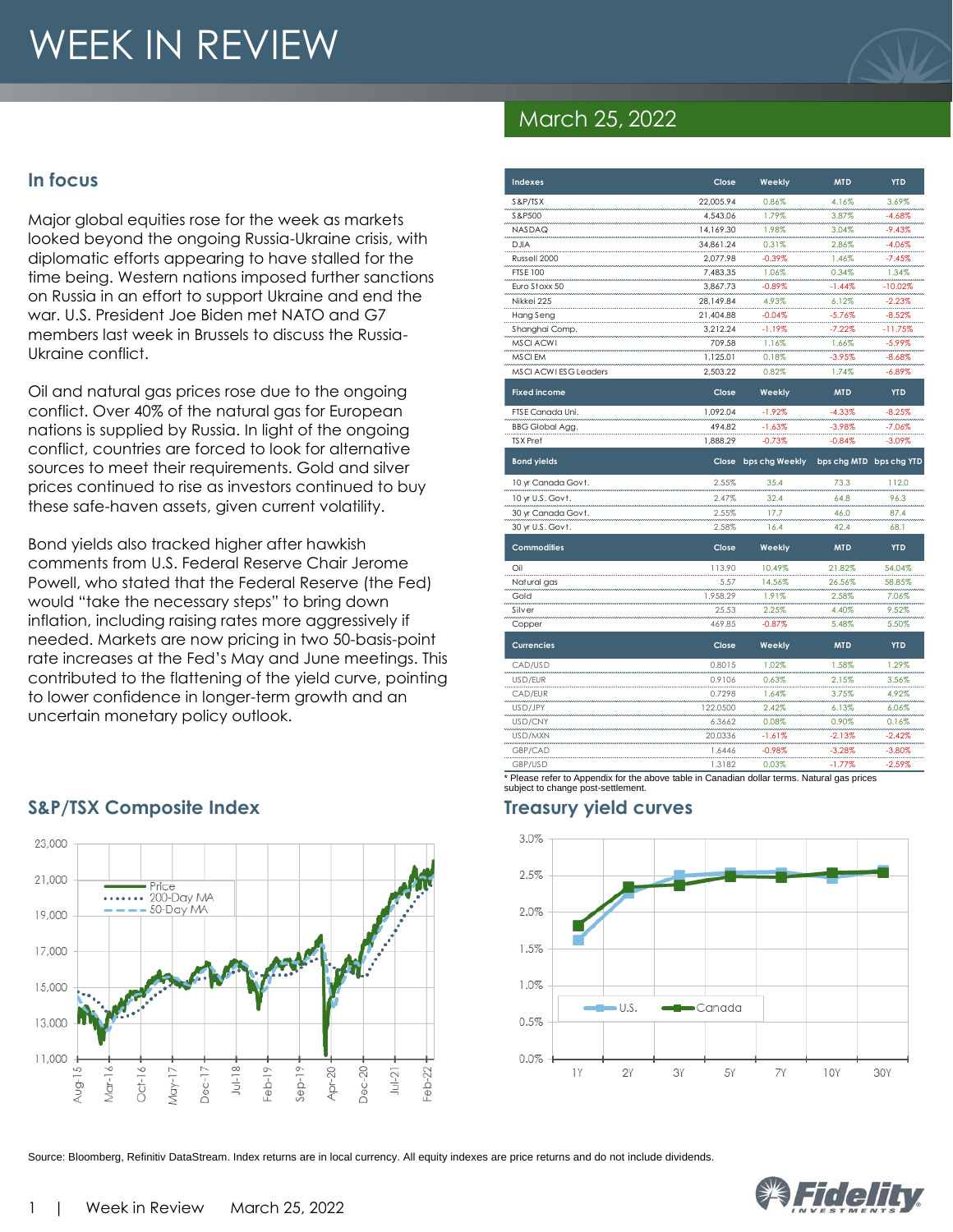# WEEK IN REVIEW

#### **In focus**

Major global equities rose for the week as markets looked beyond the ongoing Russia-Ukraine crisis, with diplomatic efforts appearing to have stalled for the time being. Western nations imposed further sanctions on Russia in an effort to support Ukraine and end the war. U.S. President Joe Biden met NATO and G7 members last week in Brussels to discuss the Russia-Ukraine conflict.

Oil and natural gas prices rose due to the ongoing conflict. Over 40% of the natural gas for European nations is supplied by Russia. In light of the ongoing conflict, countries are forced to look for alternative sources to meet their requirements. Gold and silver prices continued to rise as investors continued to buy these safe-haven assets, given current volatility.

Bond yields also tracked higher after hawkish comments from U.S. Federal Reserve Chair Jerome Powell, who stated that the Federal Reserve (the Fed) would "take the necessary steps" to bring down inflation, including raising rates more aggressively if needed. Markets are now pricing in two 50-basis-point rate increases at the Fed's May and June meetings. This contributed to the flattening of the yield curve, pointing to lower confidence in longer-term growth and an uncertain monetary policy outlook.



#### **S&P/TSX Composite Index Treasury yield curves**

## March 25, 2022

| <b>Indexes</b>               | Close     | Weekly               | <b>MTD</b>              | <b>YTD</b> |
|------------------------------|-----------|----------------------|-------------------------|------------|
| S&P/TSX                      | 22,005.94 | 0.86%                | 4.16%                   | 3.69%      |
| S&P500                       | 4,543.06  | 1.79%                | 3.87%                   | $-4.68%$   |
| <b>NASDAQ</b>                | 14.169.30 | 1.98%                | 3.04%                   | $-9.43%$   |
| <b>DJIA</b>                  | 34,861.24 | 0.31%                | 2.86%                   | $-4.06%$   |
| Russell 2000                 | 2,077.98  | $-0.39%$             | 1.46%                   | $-7.45%$   |
| <b>FTSE 100</b>              | 7,483.35  | 1.06%                | 0.34%                   | 1.34%      |
| Euro Stoxx 50                | 3.867.73  | $-0.89%$             | $-1.44%$                | $-10.02%$  |
| Nikkei 225                   | 28.149.84 | 4.93%                | 6.12%                   | $-2.23%$   |
| Hang Seng                    | 21,404.88 | $-0.04%$             | $-5.76%$                | $-8.52%$   |
| Shanghai Comp.               | 3,212.24  | -1.19%               | $-7.22%$                | $-11.75%$  |
| <b>MSCI ACWI</b>             | 709.58    | 1.16%                | 1.66%                   | $-5.99\%$  |
| MSCI EM                      | 1,125.01  | 0.18%                | $-3.95%$                | $-8.68%$   |
| <b>MSCI ACWI ESG Leaders</b> | 2,503.22  | 0.82%                | 1.74%                   | $-6.89%$   |
| <b>Fixed income</b>          | Close     | Weekly               | <b>MTD</b>              | <b>YTD</b> |
| FTSE Canada Uni.             | 1.092.04  | $-1.92%$             | $-4.33%$                | $-8.25%$   |
| <b>BBG Global Agg.</b>       | 494.82    | $-1.63%$             | $-3.98%$                | $-7.06%$   |
| <b>TSX</b> Pref              | 1,888.29  | $-0.73%$             | $-0.84%$                | $-3.09%$   |
| <b>Bond yields</b>           |           | Close bps chg Weekly | bps chg MTD bps chg YTD |            |
| 10 yr Canada Govt.           | 2.55%     | 35.4                 | 73.3                    | 112.0      |
| 10 yr U.S. Govt.             | 2.47%     | 32.4                 | 64.8                    | 96.3       |
| 30 yr Canada Govt.           | 2.55%     | 17.7                 | 46.0                    | 87.4       |
| 30 yr U.S. Govt.             | 2.58%     | 16.4                 | 42.4                    | 68.1       |
| <b>Commodities</b>           | Close     | Weekly               | <b>MTD</b>              | <b>YTD</b> |
| Oil                          | 113.90    | 10.49%               | 21.82%                  | 54.04%     |
| Natural gas                  | 5.57      | 14.56%               | 26.56%                  | 58.85%     |
| Gold                         | 1,958.29  | 1.91%                | 2.58%                   | 7.06%      |
| Silver                       | 25.53     | 2.25%                | 4.40%                   | 9.52%      |
| Copper                       | 469.85    | $-0.87%$             | 5.48%                   | 5.50%      |
| <b>Currencies</b>            | Close     | Weekly               | <b>MTD</b>              | <b>YTD</b> |
| CAD/USD                      | 0.8015    | 1.02%                | 1.58%                   | 1.29%      |
| USD/EUR                      | 0.9106    | 0.63%                | 2.15%                   | 3.56%      |
| CAD/EUR                      | 0.7298    | 1.64%                | 3.75%                   | 4.92%      |
| USD/JPY                      | 122.0500  | 2.42%                | 6.13%                   | 6.06%      |
| USD/CNY                      | 6.3662    | 0.08%                | 0.90%                   | 0.16%      |
| USD/MXN                      | 20.0336   | $-1.61%$             | $-2.13%$                | $-2.42%$   |
| GBP/CAD                      | 1.6446    | $-0.98%$             | $-3.28%$                | $-3.80%$   |
| GBP/USD                      | 1.3182    | 0.03%                | $-1.77%$                | $-2.59%$   |

\* Please refer to Appendix for the above table in Canadian dollar terms. Natural gas prices subject to change post-settlement.



Source: Bloomberg, Refinitiv DataStream. Index returns are in local currency. All equity indexes are price returns and do not include dividends.

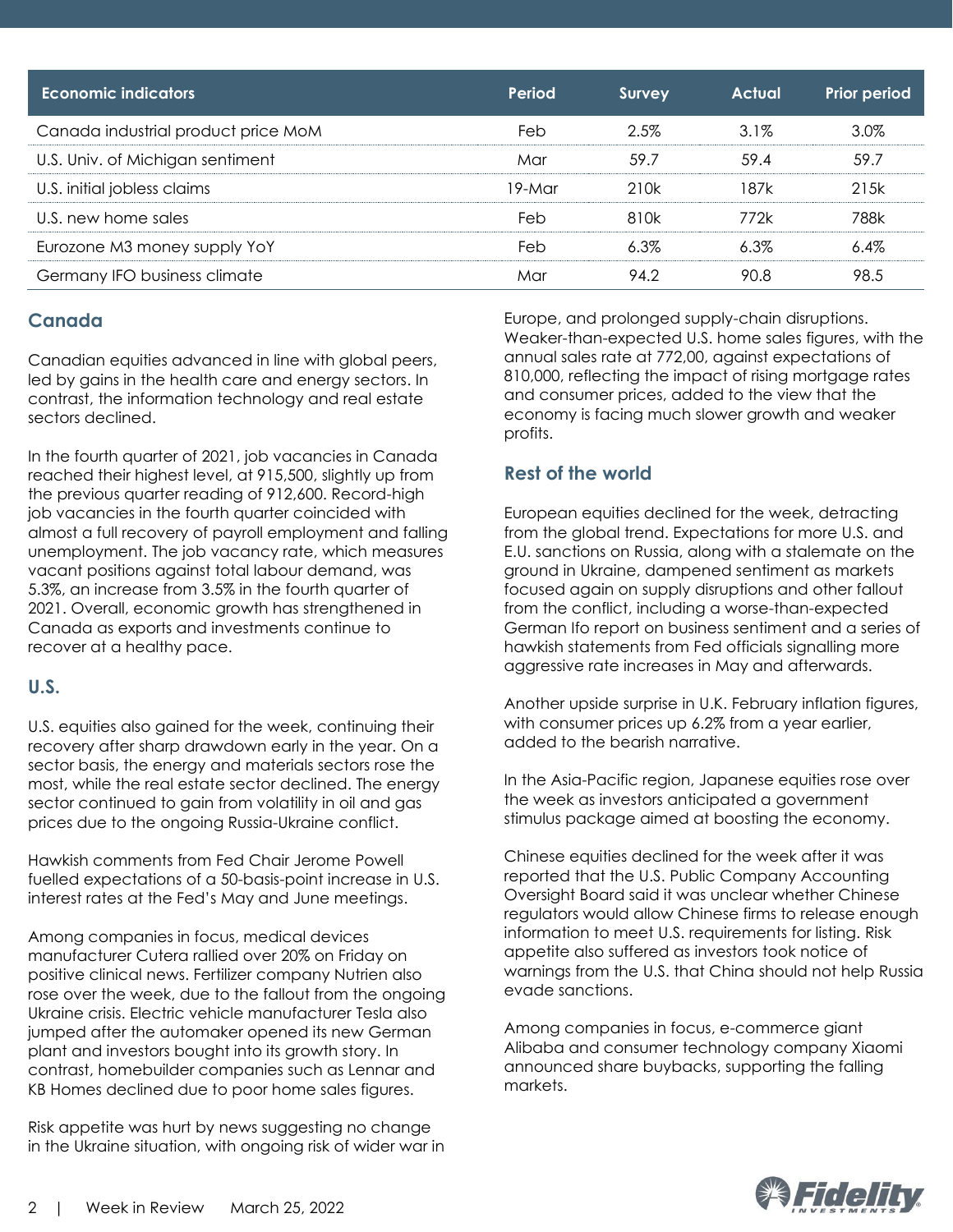| <b>Economic indicators</b>          | Period   | Survey  | <b>Actual</b> | <b>Prior period</b> |
|-------------------------------------|----------|---------|---------------|---------------------|
| Canada industrial product price MoM | Feb      | 2.5%    | $3.1\%$       | 3.0%                |
| U.S. Univ. of Michigan sentiment    | Mar      | 59.7    | 59.4          | 59.7                |
| U.S. initial jobless claims         | $19-Mar$ | 210k    | 187k          | 215k                |
| U.S. new home sales                 | Feb      | 810k    | 772k          | 788k                |
| Eurozone M3 money supply YoY        | Feb      | $6.3\%$ | $6.3\%$       | $6.4\%$             |
| Germany IFO business climate        | Mar      | 94.2    | 90.8          | 98.5                |

#### **Canada**

Canadian equities advanced in line with global peers, led by gains in the health care and energy sectors. In contrast, the information technology and real estate sectors declined.

In the fourth quarter of 2021, job vacancies in Canada reached their highest level, at 915,500, slightly up from the previous quarter reading of 912,600. Record-high job vacancies in the fourth quarter coincided with almost a full recovery of payroll employment and falling unemployment. The job vacancy rate, which measures vacant positions against total labour demand, was 5.3%, an increase from 3.5% in the fourth quarter of 2021. Overall, economic growth has strengthened in Canada as exports and investments continue to recover at a healthy pace.

#### **U.S.**

U.S. equities also gained for the week, continuing their recovery after sharp drawdown early in the year. On a sector basis, the energy and materials sectors rose the most, while the real estate sector declined. The energy sector continued to gain from volatility in oil and gas prices due to the ongoing Russia-Ukraine conflict.

Hawkish comments from Fed Chair Jerome Powell fuelled expectations of a 50-basis-point increase in U.S. interest rates at the Fed's May and June meetings.

Among companies in focus, medical devices manufacturer Cutera rallied over 20% on Friday on positive clinical news. Fertilizer company Nutrien also rose over the week, due to the fallout from the ongoing Ukraine crisis. Electric vehicle manufacturer Tesla also jumped after the automaker opened its new German plant and investors bought into its growth story. In contrast, homebuilder companies such as Lennar and KB Homes declined due to poor home sales figures.

Risk appetite was hurt by news suggesting no change in the Ukraine situation, with ongoing risk of wider war in Europe, and prolonged supply-chain disruptions. Weaker-than-expected U.S. home sales figures, with th e annual sales rate at 772,00, against expectations of 810,000, reflecting the impact of rising mortgage rates and consumer prices, added to the view that the economy is facing much slower growth and weaker profits.

#### **Rest of the world**

European equities declined for the week, detracting from the global trend. Expectations for more U.S. and E.U. sanctions on Russia, along with a stalemate on the ground in Ukraine, dampened sentiment as markets focused again on supply disruptions and other fallout from the conflict, including a worse-than-expected German Ifo report on business sentiment and a series of hawkish statements from Fed officials signalling more aggressive rate increases in May and afterwards.

Another upside surprise in U.K. February inflation figures, with consumer prices up 6.2% from a year earlier, added to the bearish narrative.

In the Asia-Pacific region, Japanese equities rose over the week as investors anticipated a government stimulus package aimed at boosting the economy.

Chinese equities declined for the week after it was reported that the U.S. Public Company Accounting Oversight Board said it was unclear whether Chinese regulators would allow Chinese firms to release enough information to meet U.S. requirements for listing. Risk appetite also suffered as investors took notice of warnings from the U.S. that China should not help Russia evade sanctions.

Among companies in focus, e-commerce giant Alibaba and consumer technology company Xiaomi announced share buybacks, supporting the falling markets.

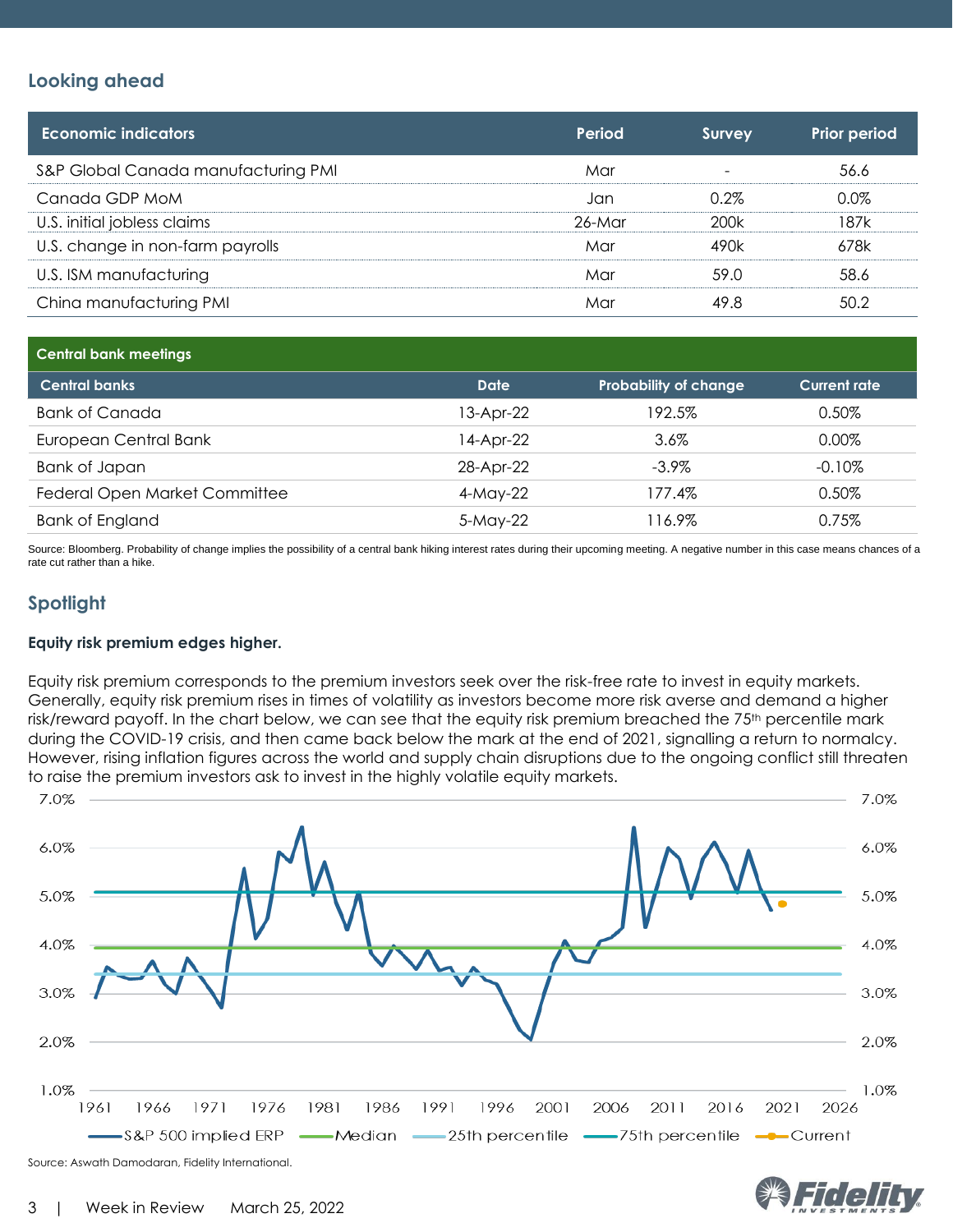#### **Looking ahead**

| <b>Economic indicators</b>          | Period | <b>Survey</b> | <b>Prior period</b> |
|-------------------------------------|--------|---------------|---------------------|
| S&P Global Canada manufacturing PMI | Mar    |               | 56.6                |
| Canada GDP MoM                      | Jan    | $0.2\%$       | 0.0%                |
| U.S. initial jobless claims         | 26-Mar | 200k          | 187k                |
| U.S. change in non-farm payrolls    | Mar    | 490k          | 678k                |
| U.S. ISM manufacturing              | Mar    | 59.0          | 58.6                |
| China manufacturing PMI             | Mar    | 49.8          | 50.2                |

| <b>Central bank meetings</b>  |             |                              |                     |
|-------------------------------|-------------|------------------------------|---------------------|
| <b>Central banks</b>          | <b>Date</b> | <b>Probability of change</b> | <b>Current rate</b> |
| <b>Bank of Canada</b>         | 13-Apr-22   | 192.5%                       | 0.50%               |
| European Central Bank         | 14-Apr-22   | 3.6%                         | $0.00\%$            |
| Bank of Japan                 | 28-Apr-22   | $-3.9\%$                     | $-0.10\%$           |
| Federal Open Market Committee | 4-May-22    | 177.4%                       | 0.50%               |
| <b>Bank of England</b>        | 5-May-22    | 116.9%                       | 0.75%               |

Source: Bloomberg. Probability of change implies the possibility of a central bank hiking interest rates during their upcoming meeting. A negative number in this case means chances of a rate cut rather than a hike.

### **Spotlight**

#### **Equity risk premium edges higher.**

Equity risk premium corresponds to the premium investors seek over the risk-free rate to invest in equity markets. Generally, equity risk premium rises in times of volatility as investors become more risk averse and demand a higher risk/reward payoff. In the chart below, we can see that the equity risk premium breached the 75<sup>th</sup> percentile mark during the COVID-19 crisis, and then came back below the mark at the end of 2021, signalling a return to normalcy. However, rising inflation figures across the world and supply chain disruptions due to the ongoing conflict still threaten to raise the premium investors ask to invest in the highly volatile equity markets.



Source: Aswath Damodaran, Fidelity International.

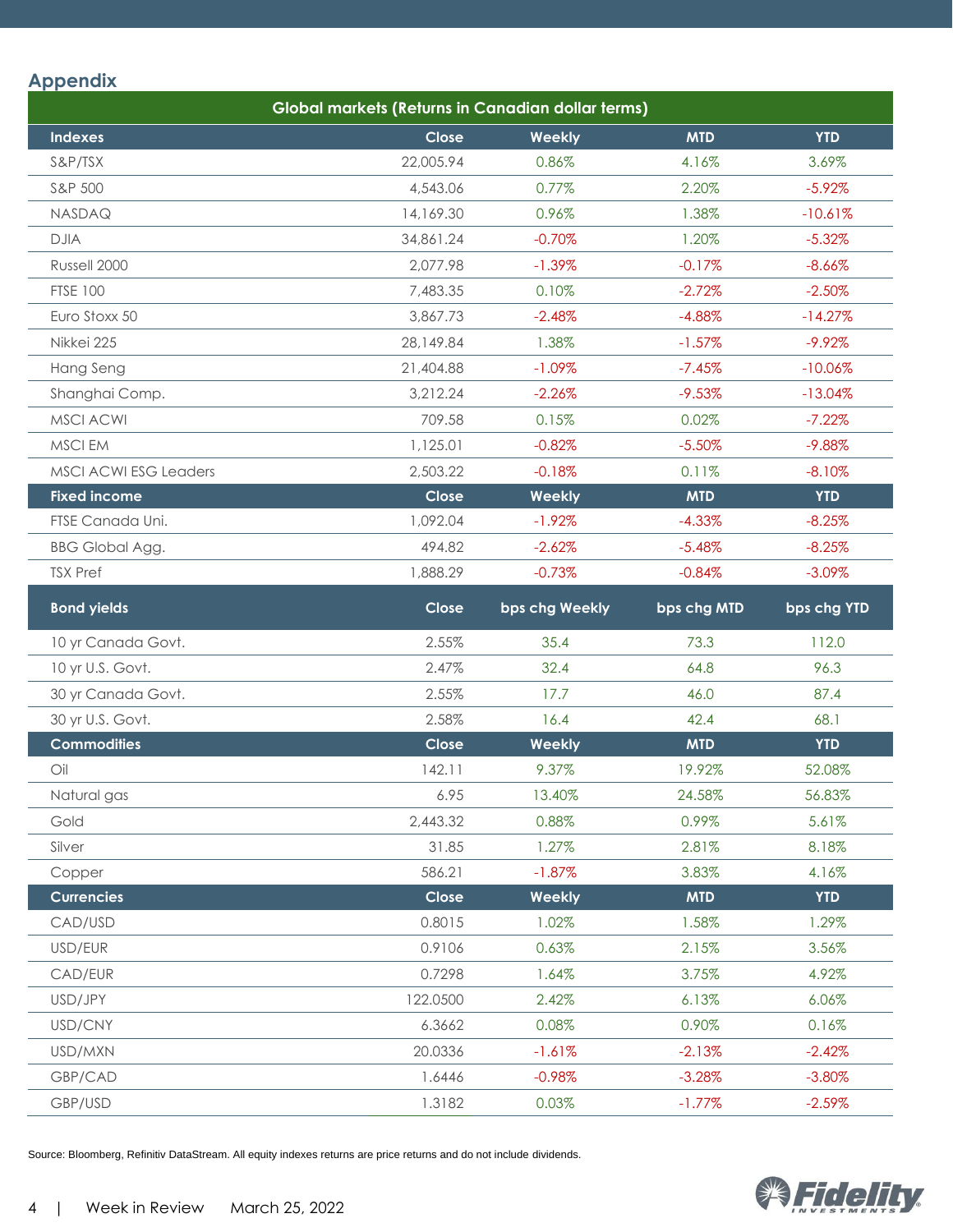#### **Appendix**

| <b>Global markets (Returns in Canadian dollar terms)</b> |           |                |             |             |
|----------------------------------------------------------|-----------|----------------|-------------|-------------|
| <b>Indexes</b>                                           | Close     | Weekly         | <b>MTD</b>  | <b>YTD</b>  |
| S&P/TSX                                                  | 22,005.94 | 0.86%          | 4.16%       | 3.69%       |
| S&P 500                                                  | 4,543.06  | 0.77%          | 2.20%       | $-5.92%$    |
| NASDAQ                                                   | 14,169.30 | 0.96%          | 1.38%       | $-10.61%$   |
| <b>DJIA</b>                                              | 34,861.24 | $-0.70%$       | 1.20%       | $-5.32%$    |
| Russell 2000                                             | 2,077.98  | $-1.39\%$      | $-0.17%$    | $-8.66%$    |
| <b>FTSE 100</b>                                          | 7,483.35  | 0.10%          | $-2.72%$    | $-2.50%$    |
| Euro Stoxx 50                                            | 3,867.73  | $-2.48%$       | $-4.88%$    | $-14.27%$   |
| Nikkei 225                                               | 28,149.84 | 1.38%          | $-1.57%$    | $-9.92%$    |
| Hang Seng                                                | 21,404.88 | $-1.09%$       | $-7.45%$    | $-10.06%$   |
| Shanghai Comp.                                           | 3,212.24  | $-2.26%$       | $-9.53%$    | $-13.04%$   |
| <b>MSCI ACWI</b>                                         | 709.58    | 0.15%          | 0.02%       | $-7.22%$    |
| MSCI EM                                                  | 1,125.01  | $-0.82%$       | $-5.50%$    | $-9.88%$    |
| <b>MSCI ACWI ESG Leaders</b>                             | 2,503.22  | $-0.18%$       | 0.11%       | $-8.10%$    |
| <b>Fixed income</b>                                      | Close     | Weekly         | <b>MTD</b>  | <b>YTD</b>  |
| FTSE Canada Uni.                                         | 1,092.04  | $-1.92%$       | $-4.33%$    | $-8.25%$    |
| <b>BBG Global Agg.</b>                                   | 494.82    | $-2.62%$       | $-5.48%$    | $-8.25%$    |
| <b>TSX Pref</b>                                          | 1,888.29  | $-0.73%$       | $-0.84%$    | $-3.09%$    |
| <b>Bond yields</b>                                       | Close     | bps chg Weekly | bps chg MTD | bps chg YTD |
| 10 yr Canada Govt.                                       | 2.55%     | 35.4           | 73.3        | 112.0       |
| 10 yr U.S. Govt.                                         | 2.47%     | 32.4           | 64.8        | 96.3        |
| 30 yr Canada Govt.                                       | 2.55%     | 17.7           | 46.0        | 87.4        |
| 30 yr U.S. Govt.                                         | 2.58%     | 16.4           | 42.4        | 68.1        |
| <b>Commodities</b>                                       | Close     | Weekly         | <b>MTD</b>  | <b>YTD</b>  |
| Oil                                                      | 142.11    | 9.37%          | 19.92%      | 52.08%      |
| Natural gas                                              | 6.95      | 13.40%         | 24.58%      | 56.83%      |
| Gold                                                     | 2,443.32  | 0.88%          | 0.99%       | 5.61%       |
| Silver                                                   | 31.85     | 1.27%          | 2.81%       | 8.18%       |
| Copper                                                   | 586.21    | $-1.87%$       | 3.83%       | 4.16%       |
| <b>Currencies</b>                                        | Close     | Weekly         | <b>MTD</b>  | <b>YTD</b>  |
| CAD/USD                                                  | 0.8015    | 1.02%          | 1.58%       | 1.29%       |
| USD/EUR                                                  | 0.9106    | 0.63%          | 2.15%       | 3.56%       |
| CAD/EUR                                                  | 0.7298    | 1.64%          | 3.75%       | 4.92%       |
| USD/JPY                                                  | 122.0500  | 2.42%          | 6.13%       | 6.06%       |
| USD/CNY                                                  | 6.3662    | 0.08%          | 0.90%       | 0.16%       |
| USD/MXN                                                  | 20.0336   | $-1.61%$       | $-2.13%$    | $-2.42%$    |
| GBP/CAD                                                  | 1.6446    | $-0.98%$       | $-3.28%$    | $-3.80%$    |
| GBP/USD                                                  | 1.3182    | 0.03%          | $-1.77%$    | $-2.59%$    |

Source: Bloomberg, Refinitiv DataStream. All equity indexes returns are price returns and do not include dividends.